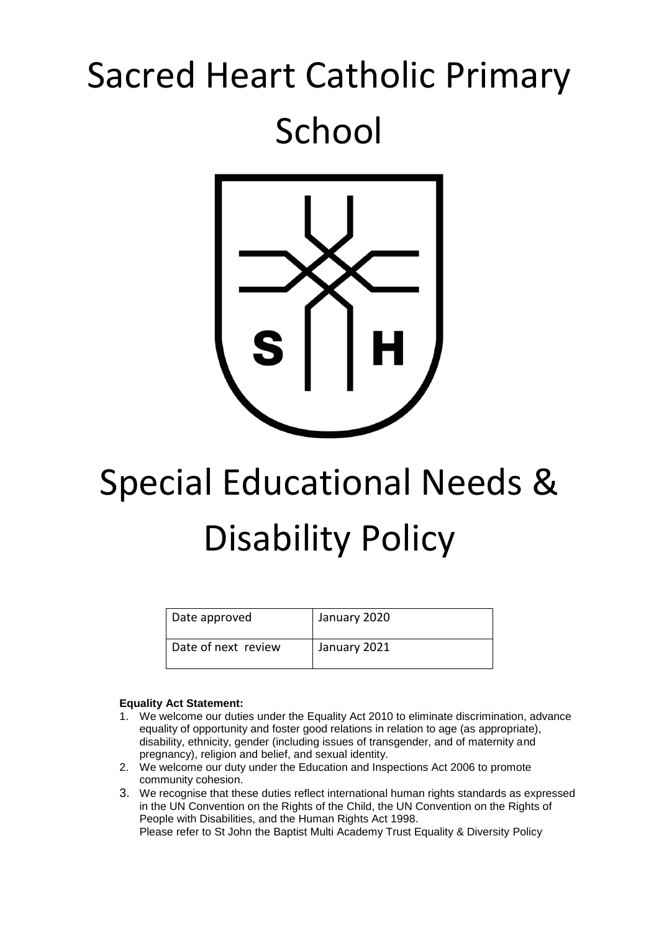## Sacred Heart Catholic Primary School



# Special Educational Needs & Disability Policy

| Date approved       | January 2020 |
|---------------------|--------------|
| Date of next review | January 2021 |

#### **Equality Act Statement:**

- 1. We welcome our duties under the Equality Act 2010 to eliminate discrimination, advance equality of opportunity and foster good relations in relation to age (as appropriate), disability, ethnicity, gender (including issues of transgender, and of maternity and pregnancy), religion and belief, and sexual identity.
- 2. We welcome our duty under the Education and Inspections Act 2006 to promote community cohesion.
- 3. We recognise that these duties reflect international human rights standards as expressed in the UN Convention on the Rights of the Child, the UN Convention on the Rights of People with Disabilities, and the Human Rights Act 1998. Please refer to St John the Baptist Multi Academy Trust Equality & Diversity Policy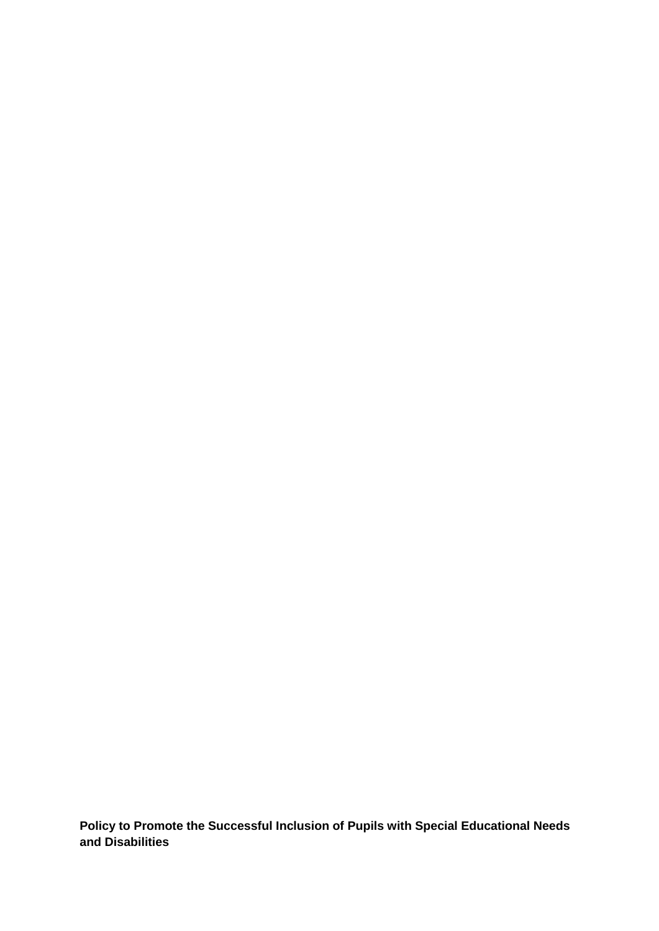**Policy to Promote the Successful Inclusion of Pupils with Special Educational Needs and Disabilities**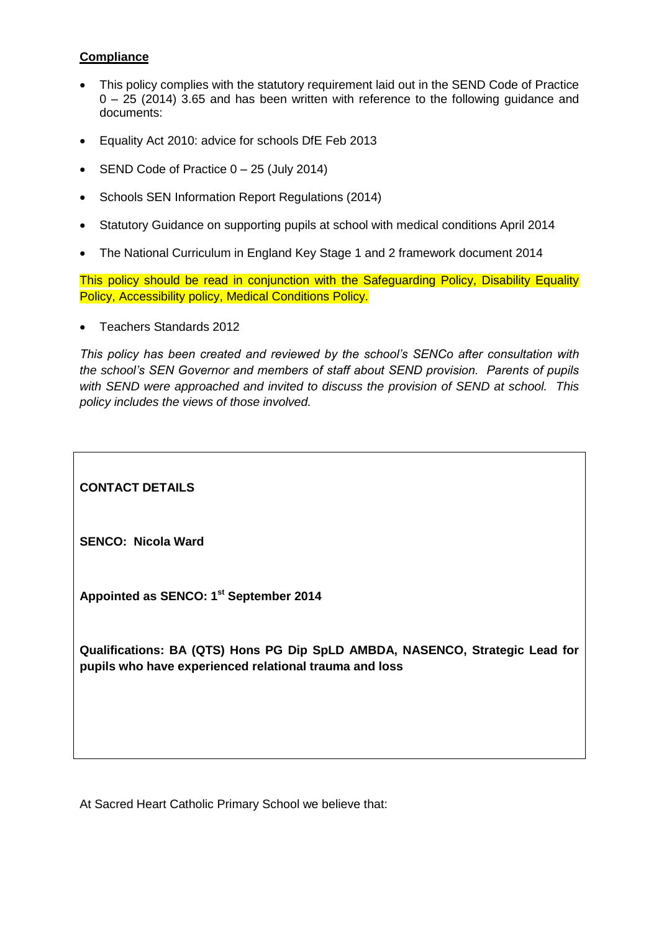## **Compliance**

- This policy complies with the statutory requirement laid out in the SEND Code of Practice 0 – 25 (2014) 3.65 and has been written with reference to the following guidance and documents:
- Equality Act 2010: advice for schools DfE Feb 2013
- SEND Code of Practice  $0 25$  (July 2014)
- Schools SEN Information Report Regulations (2014)
- Statutory Guidance on supporting pupils at school with medical conditions April 2014
- The National Curriculum in England Key Stage 1 and 2 framework document 2014

This policy should be read in conjunction with the Safeguarding Policy, Disability Equality Policy, Accessibility policy, Medical Conditions Policy.

Teachers Standards 2012

*This policy has been created and reviewed by the school's SENCo after consultation with the school's SEN Governor and members of staff about SEND provision. Parents of pupils with SEND were approached and invited to discuss the provision of SEND at school. This policy includes the views of those involved.* 

**CONTACT DETAILS**

**SENCO: Nicola Ward**

**Appointed as SENCO: 1st September 2014**

**Qualifications: BA (QTS) Hons PG Dip SpLD AMBDA, NASENCO, Strategic Lead for pupils who have experienced relational trauma and loss**

At Sacred Heart Catholic Primary School we believe that: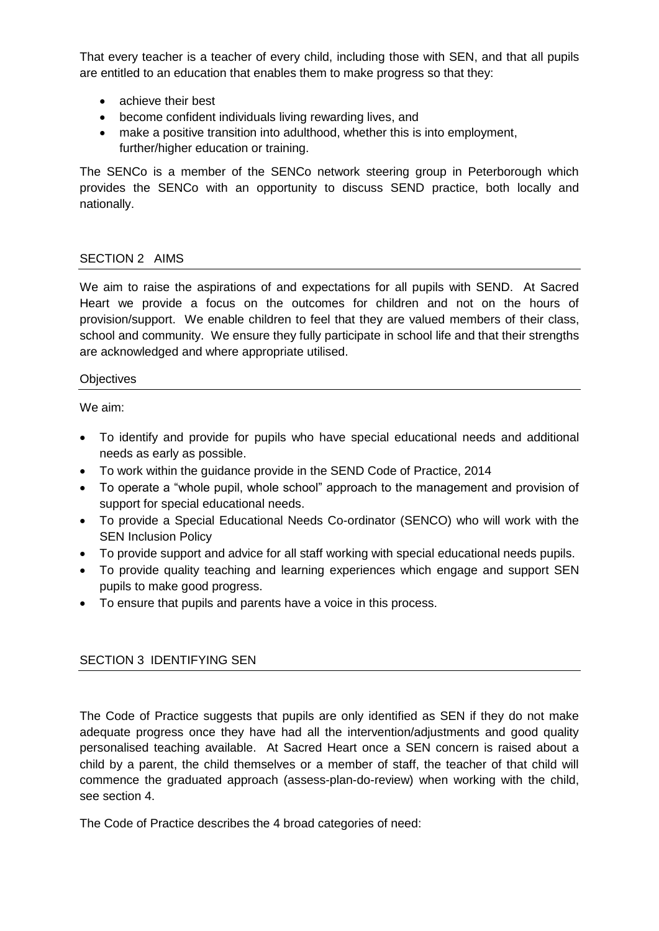That every teacher is a teacher of every child, including those with SEN, and that all pupils are entitled to an education that enables them to make progress so that they:

- achieve their best
- become confident individuals living rewarding lives, and
- make a positive transition into adulthood, whether this is into employment, further/higher education or training.

The SENCo is a member of the SENCo network steering group in Peterborough which provides the SENCo with an opportunity to discuss SEND practice, both locally and nationally.

#### SECTION 2 AIMS

We aim to raise the aspirations of and expectations for all pupils with SEND. At Sacred Heart we provide a focus on the outcomes for children and not on the hours of provision/support. We enable children to feel that they are valued members of their class, school and community. We ensure they fully participate in school life and that their strengths are acknowledged and where appropriate utilised.

#### **Objectives**

We aim:

- To identify and provide for pupils who have special educational needs and additional needs as early as possible.
- To work within the guidance provide in the SEND Code of Practice, 2014
- To operate a "whole pupil, whole school" approach to the management and provision of support for special educational needs.
- To provide a Special Educational Needs Co-ordinator (SENCO) who will work with the SEN Inclusion Policy
- To provide support and advice for all staff working with special educational needs pupils.
- To provide quality teaching and learning experiences which engage and support SEN pupils to make good progress.
- To ensure that pupils and parents have a voice in this process.

#### SECTION 3 IDENTIFYING SEN

The Code of Practice suggests that pupils are only identified as SEN if they do not make adequate progress once they have had all the intervention/adjustments and good quality personalised teaching available. At Sacred Heart once a SEN concern is raised about a child by a parent, the child themselves or a member of staff, the teacher of that child will commence the graduated approach (assess-plan-do-review) when working with the child, see section 4.

The Code of Practice describes the 4 broad categories of need: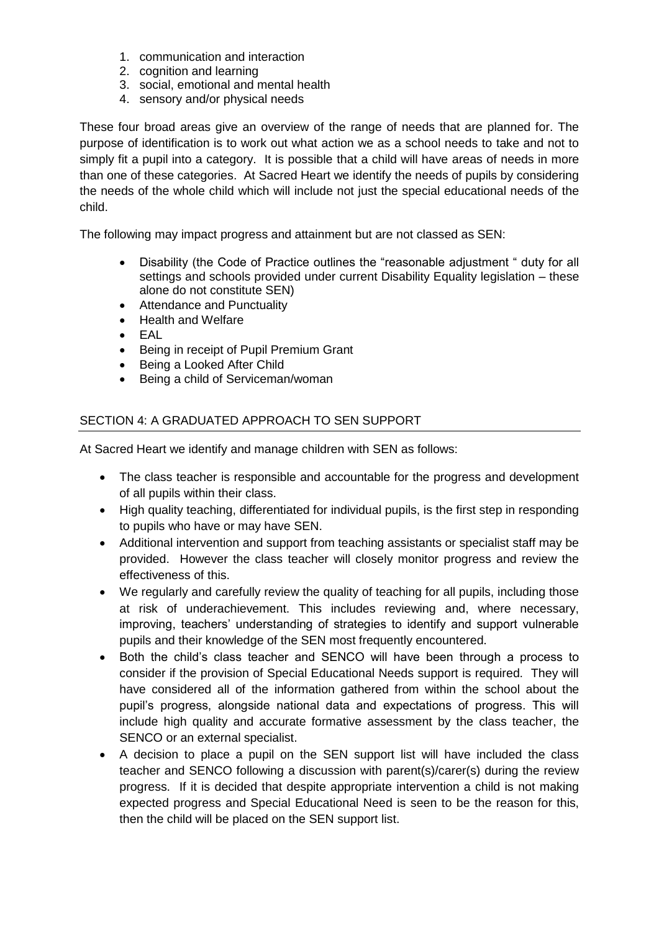- 1. communication and interaction
- 2. cognition and learning
- 3. social, emotional and mental health
- 4. sensory and/or physical needs

These four broad areas give an overview of the range of needs that are planned for. The purpose of identification is to work out what action we as a school needs to take and not to simply fit a pupil into a category. It is possible that a child will have areas of needs in more than one of these categories. At Sacred Heart we identify the needs of pupils by considering the needs of the whole child which will include not just the special educational needs of the child.

The following may impact progress and attainment but are not classed as SEN:

- Disability (the Code of Practice outlines the "reasonable adjustment " duty for all settings and schools provided under current Disability Equality legislation – these alone do not constitute SEN)
- Attendance and Punctuality
- Health and Welfare
- $\bullet$  FAL
- Being in receipt of Pupil Premium Grant
- Being a Looked After Child
- Being a child of Serviceman/woman

## SECTION 4: A GRADUATED APPROACH TO SEN SUPPORT

At Sacred Heart we identify and manage children with SEN as follows:

- The class teacher is responsible and accountable for the progress and development of all pupils within their class.
- High quality teaching, differentiated for individual pupils, is the first step in responding to pupils who have or may have SEN.
- Additional intervention and support from teaching assistants or specialist staff may be provided. However the class teacher will closely monitor progress and review the effectiveness of this.
- We regularly and carefully review the quality of teaching for all pupils, including those at risk of underachievement. This includes reviewing and, where necessary, improving, teachers' understanding of strategies to identify and support vulnerable pupils and their knowledge of the SEN most frequently encountered.
- Both the child's class teacher and SENCO will have been through a process to consider if the provision of Special Educational Needs support is required. They will have considered all of the information gathered from within the school about the pupil's progress, alongside national data and expectations of progress. This will include high quality and accurate formative assessment by the class teacher, the SENCO or an external specialist.
- A decision to place a pupil on the SEN support list will have included the class teacher and SENCO following a discussion with parent(s)/carer(s) during the review progress. If it is decided that despite appropriate intervention a child is not making expected progress and Special Educational Need is seen to be the reason for this, then the child will be placed on the SEN support list.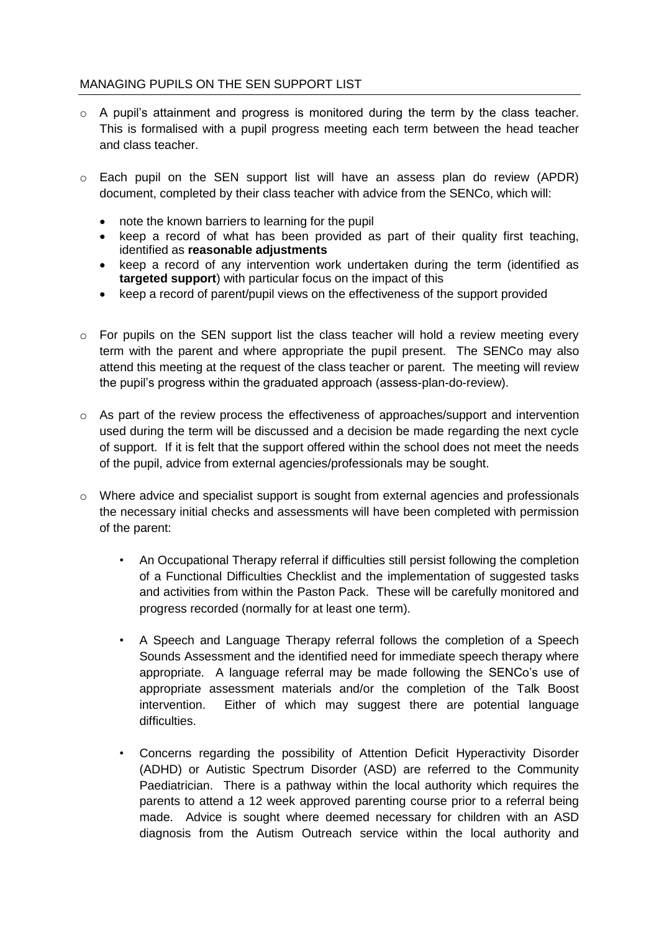## MANAGING PUPILS ON THE SEN SUPPORT LIST

- o A pupil's attainment and progress is monitored during the term by the class teacher. This is formalised with a pupil progress meeting each term between the head teacher and class teacher.
- o Each pupil on the SEN support list will have an assess plan do review (APDR) document, completed by their class teacher with advice from the SENCo, which will:
	- note the known barriers to learning for the pupil
	- keep a record of what has been provided as part of their quality first teaching, identified as **reasonable adjustments**
	- keep a record of any intervention work undertaken during the term (identified as **targeted support**) with particular focus on the impact of this
	- keep a record of parent/pupil views on the effectiveness of the support provided
- $\circ$  For pupils on the SEN support list the class teacher will hold a review meeting every term with the parent and where appropriate the pupil present. The SENCo may also attend this meeting at the request of the class teacher or parent. The meeting will review the pupil's progress within the graduated approach (assess-plan-do-review).
- $\circ$  As part of the review process the effectiveness of approaches/support and intervention used during the term will be discussed and a decision be made regarding the next cycle of support. If it is felt that the support offered within the school does not meet the needs of the pupil, advice from external agencies/professionals may be sought.
- $\circ$  Where advice and specialist support is sought from external agencies and professionals the necessary initial checks and assessments will have been completed with permission of the parent:
	- An Occupational Therapy referral if difficulties still persist following the completion of a Functional Difficulties Checklist and the implementation of suggested tasks and activities from within the Paston Pack. These will be carefully monitored and progress recorded (normally for at least one term).
	- A Speech and Language Therapy referral follows the completion of a Speech Sounds Assessment and the identified need for immediate speech therapy where appropriate. A language referral may be made following the SENCo's use of appropriate assessment materials and/or the completion of the Talk Boost intervention. Either of which may suggest there are potential language difficulties.
	- Concerns regarding the possibility of Attention Deficit Hyperactivity Disorder (ADHD) or Autistic Spectrum Disorder (ASD) are referred to the Community Paediatrician. There is a pathway within the local authority which requires the parents to attend a 12 week approved parenting course prior to a referral being made. Advice is sought where deemed necessary for children with an ASD diagnosis from the Autism Outreach service within the local authority and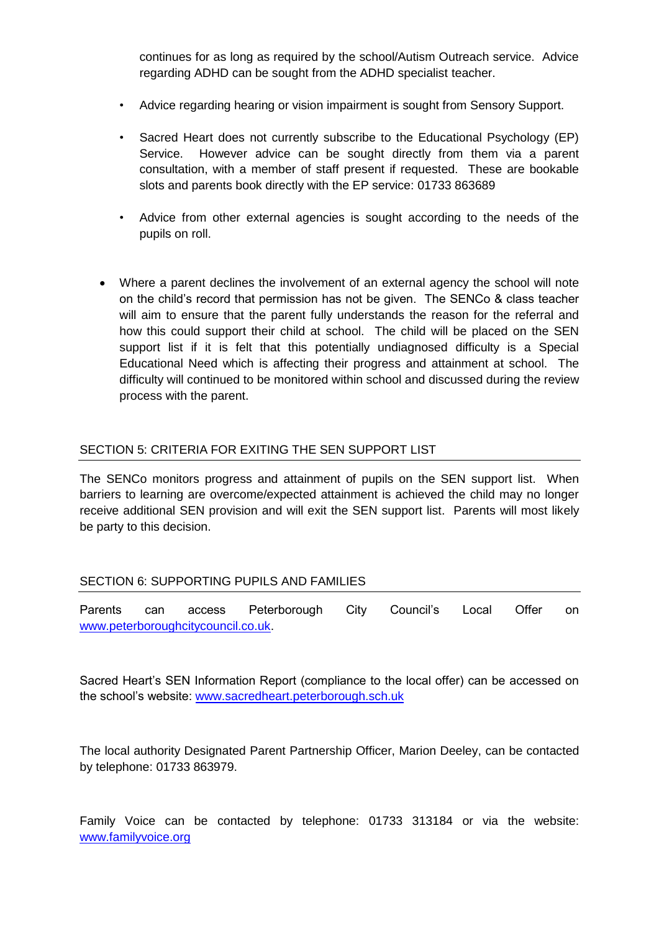continues for as long as required by the school/Autism Outreach service. Advice regarding ADHD can be sought from the ADHD specialist teacher.

- Advice regarding hearing or vision impairment is sought from Sensory Support.
- Sacred Heart does not currently subscribe to the Educational Psychology (EP) Service. However advice can be sought directly from them via a parent consultation, with a member of staff present if requested. These are bookable slots and parents book directly with the EP service: 01733 863689
- Advice from other external agencies is sought according to the needs of the pupils on roll.
- Where a parent declines the involvement of an external agency the school will note on the child's record that permission has not be given. The SENCo & class teacher will aim to ensure that the parent fully understands the reason for the referral and how this could support their child at school. The child will be placed on the SEN support list if it is felt that this potentially undiagnosed difficulty is a Special Educational Need which is affecting their progress and attainment at school. The difficulty will continued to be monitored within school and discussed during the review process with the parent.

## SECTION 5: CRITERIA FOR EXITING THE SEN SUPPORT LIST

The SENCo monitors progress and attainment of pupils on the SEN support list. When barriers to learning are overcome/expected attainment is achieved the child may no longer receive additional SEN provision and will exit the SEN support list. Parents will most likely be party to this decision.

#### SECTION 6: SUPPORTING PUPILS AND FAMILIES

Parents can access Peterborough City Council's Local Offer on [www.peterboroughcitycouncil.co.uk.](http://www.peterboroughcitycouncil.co.uk/)

Sacred Heart's SEN Information Report (compliance to the local offer) can be accessed on the school's website: [www.sacredheart.peterborough.sch.uk](http://www.sacredheart.peterborough.sch.uk/)

The local authority Designated Parent Partnership Officer, Marion Deeley, can be contacted by telephone: 01733 863979.

Family Voice can be contacted by telephone: 01733 313184 or via the website: [www.familyvoice.org](http://www.familyvoice.org/)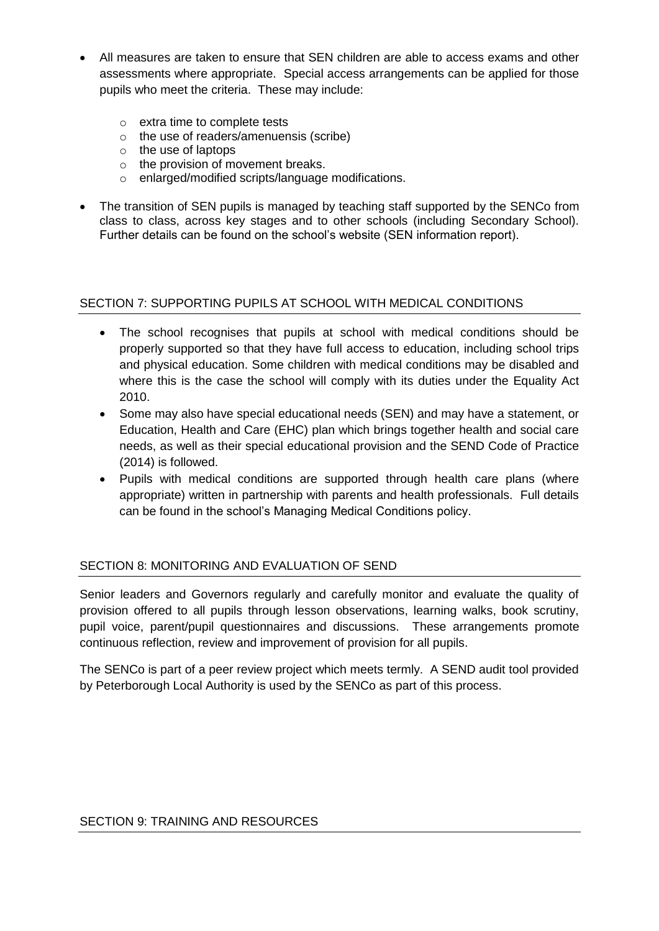- All measures are taken to ensure that SEN children are able to access exams and other assessments where appropriate. Special access arrangements can be applied for those pupils who meet the criteria. These may include:
	- o extra time to complete tests
	- o the use of readers/amenuensis (scribe)
	- o the use of laptops
	- o the provision of movement breaks.
	- o enlarged/modified scripts/language modifications.
- The transition of SEN pupils is managed by teaching staff supported by the SENCo from class to class, across key stages and to other schools (including Secondary School). Further details can be found on the school's website (SEN information report).

## SECTION 7: SUPPORTING PUPILS AT SCHOOL WITH MEDICAL CONDITIONS

- The school recognises that pupils at school with medical conditions should be properly supported so that they have full access to education, including school trips and physical education. Some children with medical conditions may be disabled and where this is the case the school will comply with its duties under the Equality Act 2010.
- Some may also have special educational needs (SEN) and may have a statement, or Education, Health and Care (EHC) plan which brings together health and social care needs, as well as their special educational provision and the SEND Code of Practice (2014) is followed.
- Pupils with medical conditions are supported through health care plans (where appropriate) written in partnership with parents and health professionals. Full details can be found in the school's Managing Medical Conditions policy.

## SECTION 8: MONITORING AND EVALUATION OF SEND

Senior leaders and Governors regularly and carefully monitor and evaluate the quality of provision offered to all pupils through lesson observations, learning walks, book scrutiny, pupil voice, parent/pupil questionnaires and discussions. These arrangements promote continuous reflection, review and improvement of provision for all pupils.

The SENCo is part of a peer review project which meets termly. A SEND audit tool provided by Peterborough Local Authority is used by the SENCo as part of this process.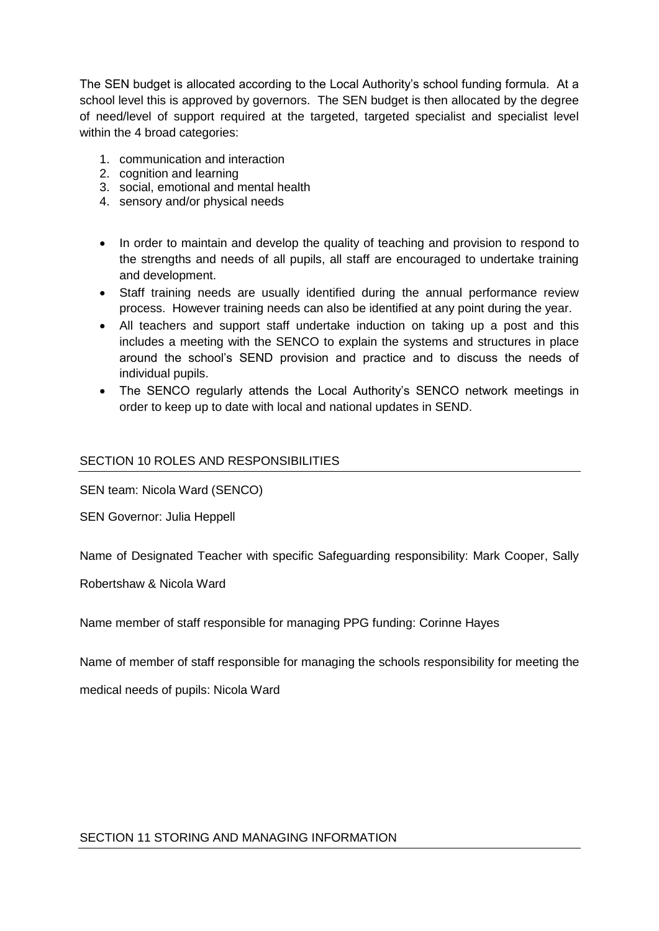The SEN budget is allocated according to the Local Authority's school funding formula. At a school level this is approved by governors. The SEN budget is then allocated by the degree of need/level of support required at the targeted, targeted specialist and specialist level within the 4 broad categories:

- 1. communication and interaction
- 2. cognition and learning
- 3. social, emotional and mental health
- 4. sensory and/or physical needs
- In order to maintain and develop the quality of teaching and provision to respond to the strengths and needs of all pupils, all staff are encouraged to undertake training and development.
- Staff training needs are usually identified during the annual performance review process. However training needs can also be identified at any point during the year.
- All teachers and support staff undertake induction on taking up a post and this includes a meeting with the SENCO to explain the systems and structures in place around the school's SEND provision and practice and to discuss the needs of individual pupils.
- The SENCO regularly attends the Local Authority's SENCO network meetings in order to keep up to date with local and national updates in SEND.

## SECTION 10 ROLES AND RESPONSIBILITIES

SEN team: Nicola Ward (SENCO)

SEN Governor: Julia Heppell

Name of Designated Teacher with specific Safeguarding responsibility: Mark Cooper, Sally

Robertshaw & Nicola Ward

Name member of staff responsible for managing PPG funding: Corinne Hayes

Name of member of staff responsible for managing the schools responsibility for meeting the

medical needs of pupils: Nicola Ward

#### SECTION 11 STORING AND MANAGING INFORMATION